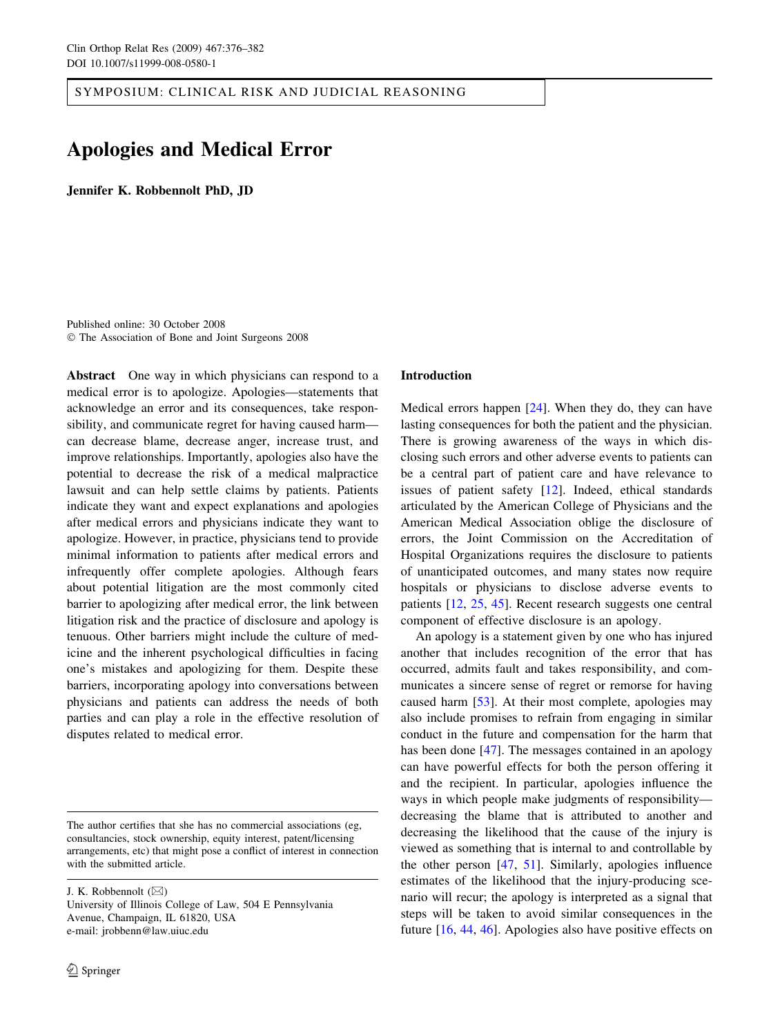SYMPOSIUM: CLINICAL RISK AND JUDICIAL REASONING

# Apologies and Medical Error

Jennifer K. Robbennolt PhD, JD

Published online: 30 October 2008 ! The Association of Bone and Joint Surgeons 2008

Abstract One way in which physicians can respond to a medical error is to apologize. Apologies—statements that acknowledge an error and its consequences, take responsibility, and communicate regret for having caused harm can decrease blame, decrease anger, increase trust, and improve relationships. Importantly, apologies also have the potential to decrease the risk of a medical malpractice lawsuit and can help settle claims by patients. Patients indicate they want and expect explanations and apologies after medical errors and physicians indicate they want to apologize. However, in practice, physicians tend to provide minimal information to patients after medical errors and infrequently offer complete apologies. Although fears about potential litigation are the most commonly cited barrier to apologizing after medical error, the link between litigation risk and the practice of disclosure and apology is tenuous. Other barriers might include the culture of medicine and the inherent psychological difficulties in facing one's mistakes and apologizing for them. Despite these barriers, incorporating apology into conversations between physicians and patients can address the needs of both parties and can play a role in the effective resolution of disputes related to medical error.

#### Introduction

Medical errors happen [[24\]](#page-5-0). When they do, they can have lasting consequences for both the patient and the physician. There is growing awareness of the ways in which disclosing such errors and other adverse events to patients can be a central part of patient care and have relevance to issues of patient safety [\[12](#page-5-0)]. Indeed, ethical standards articulated by the American College of Physicians and the American Medical Association oblige the disclosure of errors, the Joint Commission on the Accreditation of Hospital Organizations requires the disclosure to patients of unanticipated outcomes, and many states now require hospitals or physicians to disclose adverse events to patients [[12,](#page-5-0) [25,](#page-5-0) [45](#page-6-0)]. Recent research suggests one central component of effective disclosure is an apology.

An apology is a statement given by one who has injured another that includes recognition of the error that has occurred, admits fault and takes responsibility, and communicates a sincere sense of regret or remorse for having caused harm [\[53](#page-6-0)]. At their most complete, apologies may also include promises to refrain from engaging in similar conduct in the future and compensation for the harm that has been done [[47\]](#page-6-0). The messages contained in an apology can have powerful effects for both the person offering it and the recipient. In particular, apologies influence the ways in which people make judgments of responsibility decreasing the blame that is attributed to another and decreasing the likelihood that the cause of the injury is viewed as something that is internal to and controllable by the other person [[47,](#page-6-0) [51\]](#page-6-0). Similarly, apologies influence estimates of the likelihood that the injury-producing scenario will recur; the apology is interpreted as a signal that steps will be taken to avoid similar consequences in the future [\[16](#page-5-0), [44,](#page-6-0) [46\]](#page-6-0). Apologies also have positive effects on

The author certifies that she has no commercial associations (eg, consultancies, stock ownership, equity interest, patent/licensing arrangements, etc) that might pose a conflict of interest in connection with the submitted article.

J. K. Robbennolt  $(\boxtimes)$ 

University of Illinois College of Law, 504 E Pennsylvania Avenue, Champaign, IL 61820, USA e-mail: jrobbenn@law.uiuc.edu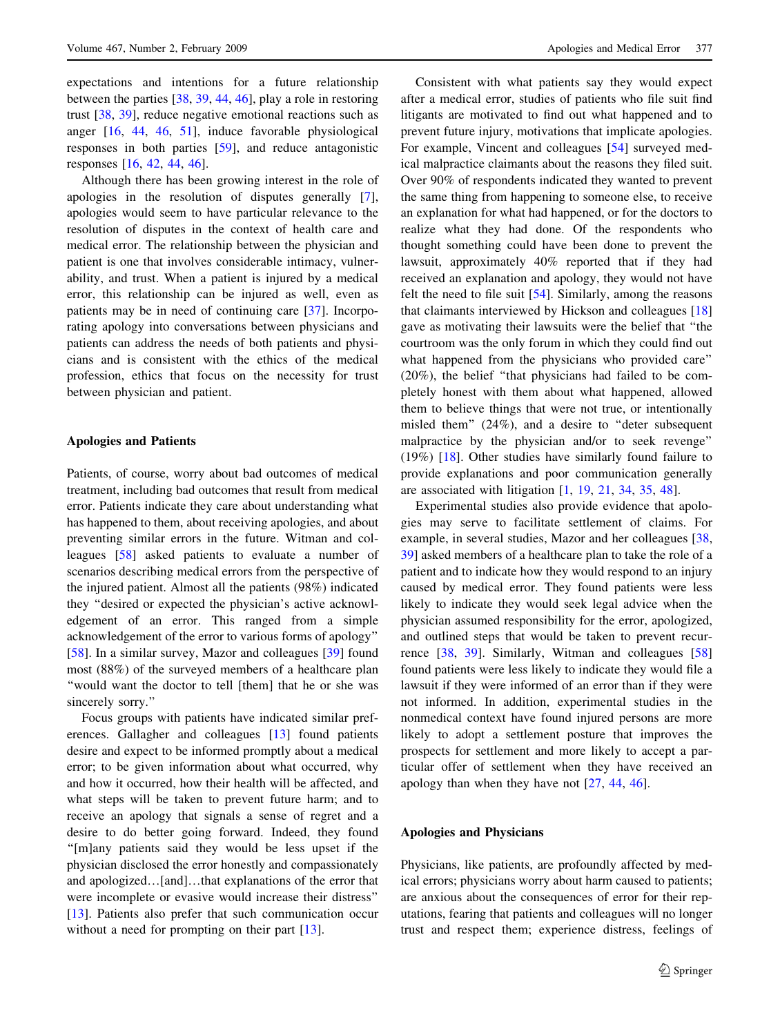expectations and intentions for a future relationship between the parties [\[38](#page-6-0), [39,](#page-6-0) [44,](#page-6-0) [46\]](#page-6-0), play a role in restoring trust [\[38](#page-6-0), [39\]](#page-6-0), reduce negative emotional reactions such as anger [\[16](#page-5-0), [44,](#page-6-0) [46](#page-6-0), [51](#page-6-0)], induce favorable physiological responses in both parties [\[59](#page-6-0)], and reduce antagonistic responses [\[16](#page-5-0), [42](#page-6-0), [44](#page-6-0), [46\]](#page-6-0).

Although there has been growing interest in the role of apologies in the resolution of disputes generally [\[7](#page-5-0)], apologies would seem to have particular relevance to the resolution of disputes in the context of health care and medical error. The relationship between the physician and patient is one that involves considerable intimacy, vulnerability, and trust. When a patient is injured by a medical error, this relationship can be injured as well, even as patients may be in need of continuing care [\[37](#page-6-0)]. Incorporating apology into conversations between physicians and patients can address the needs of both patients and physicians and is consistent with the ethics of the medical profession, ethics that focus on the necessity for trust between physician and patient.

## Apologies and Patients

Patients, of course, worry about bad outcomes of medical treatment, including bad outcomes that result from medical error. Patients indicate they care about understanding what has happened to them, about receiving apologies, and about preventing similar errors in the future. Witman and colleagues [\[58\]](#page-6-0) asked patients to evaluate a number of scenarios describing medical errors from the perspective of the injured patient. Almost all the patients (98%) indicated they ''desired or expected the physician's active acknowledgement of an error. This ranged from a simple acknowledgement of the error to various forms of apology'' [\[58](#page-6-0)]. In a similar survey, Mazor and colleagues [[39\]](#page-6-0) found most (88%) of the surveyed members of a healthcare plan ''would want the doctor to tell [them] that he or she was sincerely sorry.''

Focus groups with patients have indicated similar preferences. Gallagher and colleagues [[13\]](#page-5-0) found patients desire and expect to be informed promptly about a medical error; to be given information about what occurred, why and how it occurred, how their health will be affected, and what steps will be taken to prevent future harm; and to receive an apology that signals a sense of regret and a desire to do better going forward. Indeed, they found ''[m]any patients said they would be less upset if the physician disclosed the error honestly and compassionately and apologized…[and]…that explanations of the error that were incomplete or evasive would increase their distress'' [\[13](#page-5-0)]. Patients also prefer that such communication occur without a need for prompting on their part [\[13](#page-5-0)].

Consistent with what patients say they would expect after a medical error, studies of patients who file suit find litigants are motivated to find out what happened and to prevent future injury, motivations that implicate apologies. For example, Vincent and colleagues [[54\]](#page-6-0) surveyed medical malpractice claimants about the reasons they filed suit. Over 90% of respondents indicated they wanted to prevent the same thing from happening to someone else, to receive an explanation for what had happened, or for the doctors to realize what they had done. Of the respondents who thought something could have been done to prevent the lawsuit, approximately 40% reported that if they had received an explanation and apology, they would not have felt the need to file suit [\[54](#page-6-0)]. Similarly, among the reasons that claimants interviewed by Hickson and colleagues [[18\]](#page-5-0) gave as motivating their lawsuits were the belief that ''the courtroom was the only forum in which they could find out what happened from the physicians who provided care'' (20%), the belief ''that physicians had failed to be completely honest with them about what happened, allowed them to believe things that were not true, or intentionally misled them'' (24%), and a desire to ''deter subsequent malpractice by the physician and/or to seek revenge'' (19%) [\[18](#page-5-0)]. Other studies have similarly found failure to provide explanations and poor communication generally are associated with litigation  $[1, 19, 21, 34, 35, 48]$  $[1, 19, 21, 34, 35, 48]$  $[1, 19, 21, 34, 35, 48]$  $[1, 19, 21, 34, 35, 48]$  $[1, 19, 21, 34, 35, 48]$  $[1, 19, 21, 34, 35, 48]$  $[1, 19, 21, 34, 35, 48]$  $[1, 19, 21, 34, 35, 48]$  $[1, 19, 21, 34, 35, 48]$  $[1, 19, 21, 34, 35, 48]$  $[1, 19, 21, 34, 35, 48]$  $[1, 19, 21, 34, 35, 48]$ .

Experimental studies also provide evidence that apologies may serve to facilitate settlement of claims. For example, in several studies, Mazor and her colleagues [[38,](#page-6-0) [39](#page-6-0)] asked members of a healthcare plan to take the role of a patient and to indicate how they would respond to an injury caused by medical error. They found patients were less likely to indicate they would seek legal advice when the physician assumed responsibility for the error, apologized, and outlined steps that would be taken to prevent recurrence [[38,](#page-6-0) [39\]](#page-6-0). Similarly, Witman and colleagues [[58\]](#page-6-0) found patients were less likely to indicate they would file a lawsuit if they were informed of an error than if they were not informed. In addition, experimental studies in the nonmedical context have found injured persons are more likely to adopt a settlement posture that improves the prospects for settlement and more likely to accept a particular offer of settlement when they have received an apology than when they have not [\[27](#page-5-0), [44](#page-6-0), [46](#page-6-0)].

## Apologies and Physicians

Physicians, like patients, are profoundly affected by medical errors; physicians worry about harm caused to patients; are anxious about the consequences of error for their reputations, fearing that patients and colleagues will no longer trust and respect them; experience distress, feelings of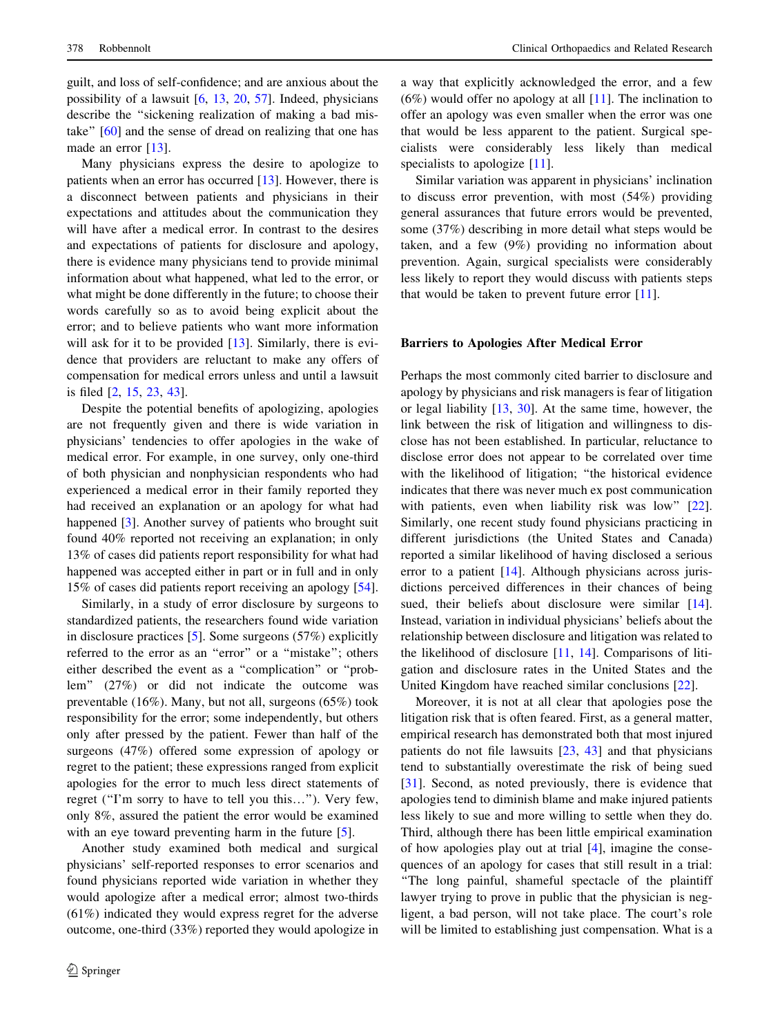guilt, and loss of self-confidence; and are anxious about the possibility of a lawsuit [[6,](#page-5-0) [13,](#page-5-0) [20,](#page-5-0) [57](#page-6-0)]. Indeed, physicians describe the ''sickening realization of making a bad mistake'' [[60\]](#page-6-0) and the sense of dread on realizing that one has made an error [[13\]](#page-5-0).

Many physicians express the desire to apologize to patients when an error has occurred [[13\]](#page-5-0). However, there is a disconnect between patients and physicians in their expectations and attitudes about the communication they will have after a medical error. In contrast to the desires and expectations of patients for disclosure and apology, there is evidence many physicians tend to provide minimal information about what happened, what led to the error, or what might be done differently in the future; to choose their words carefully so as to avoid being explicit about the error; and to believe patients who want more information will ask for it to be provided [\[13](#page-5-0)]. Similarly, there is evidence that providers are reluctant to make any offers of compensation for medical errors unless and until a lawsuit is filed [\[2](#page-5-0), [15](#page-5-0), [23,](#page-5-0) [43\]](#page-6-0).

Despite the potential benefits of apologizing, apologies are not frequently given and there is wide variation in physicians' tendencies to offer apologies in the wake of medical error. For example, in one survey, only one-third of both physician and nonphysician respondents who had experienced a medical error in their family reported they had received an explanation or an apology for what had happened [[3\]](#page-5-0). Another survey of patients who brought suit found 40% reported not receiving an explanation; in only 13% of cases did patients report responsibility for what had happened was accepted either in part or in full and in only 15% of cases did patients report receiving an apology [\[54](#page-6-0)].

Similarly, in a study of error disclosure by surgeons to standardized patients, the researchers found wide variation in disclosure practices [\[5](#page-5-0)]. Some surgeons (57%) explicitly referred to the error as an ''error'' or a ''mistake''; others either described the event as a ''complication'' or ''problem'' (27%) or did not indicate the outcome was preventable (16%). Many, but not all, surgeons (65%) took responsibility for the error; some independently, but others only after pressed by the patient. Fewer than half of the surgeons (47%) offered some expression of apology or regret to the patient; these expressions ranged from explicit apologies for the error to much less direct statements of regret ("I'm sorry to have to tell you this..."). Very few, only 8%, assured the patient the error would be examined with an eye toward preventing harm in the future [[5\]](#page-5-0).

Another study examined both medical and surgical physicians' self-reported responses to error scenarios and found physicians reported wide variation in whether they would apologize after a medical error; almost two-thirds (61%) indicated they would express regret for the adverse outcome, one-third (33%) reported they would apologize in a way that explicitly acknowledged the error, and a few  $(6%)$  would offer no apology at all [\[11](#page-5-0)]. The inclination to offer an apology was even smaller when the error was one that would be less apparent to the patient. Surgical specialists were considerably less likely than medical specialists to apologize [\[11](#page-5-0)].

Similar variation was apparent in physicians' inclination to discuss error prevention, with most (54%) providing general assurances that future errors would be prevented, some (37%) describing in more detail what steps would be taken, and a few (9%) providing no information about prevention. Again, surgical specialists were considerably less likely to report they would discuss with patients steps that would be taken to prevent future error  $[11]$  $[11]$ .

#### Barriers to Apologies After Medical Error

Perhaps the most commonly cited barrier to disclosure and apology by physicians and risk managers is fear of litigation or legal liability [\[13](#page-5-0), [30](#page-5-0)]. At the same time, however, the link between the risk of litigation and willingness to disclose has not been established. In particular, reluctance to disclose error does not appear to be correlated over time with the likelihood of litigation; "the historical evidence indicates that there was never much ex post communication with patients, even when liability risk was low" [\[22](#page-5-0)]. Similarly, one recent study found physicians practicing in different jurisdictions (the United States and Canada) reported a similar likelihood of having disclosed a serious error to a patient [\[14](#page-5-0)]. Although physicians across jurisdictions perceived differences in their chances of being sued, their beliefs about disclosure were similar [\[14](#page-5-0)]. Instead, variation in individual physicians' beliefs about the relationship between disclosure and litigation was related to the likelihood of disclosure [[11,](#page-5-0) [14\]](#page-5-0). Comparisons of litigation and disclosure rates in the United States and the United Kingdom have reached similar conclusions [[22\]](#page-5-0).

Moreover, it is not at all clear that apologies pose the litigation risk that is often feared. First, as a general matter, empirical research has demonstrated both that most injured patients do not file lawsuits [[23,](#page-5-0) [43\]](#page-6-0) and that physicians tend to substantially overestimate the risk of being sued [\[31](#page-5-0)]. Second, as noted previously, there is evidence that apologies tend to diminish blame and make injured patients less likely to sue and more willing to settle when they do. Third, although there has been little empirical examination of how apologies play out at trial [[4\]](#page-5-0), imagine the consequences of an apology for cases that still result in a trial: ''The long painful, shameful spectacle of the plaintiff lawyer trying to prove in public that the physician is negligent, a bad person, will not take place. The court's role will be limited to establishing just compensation. What is a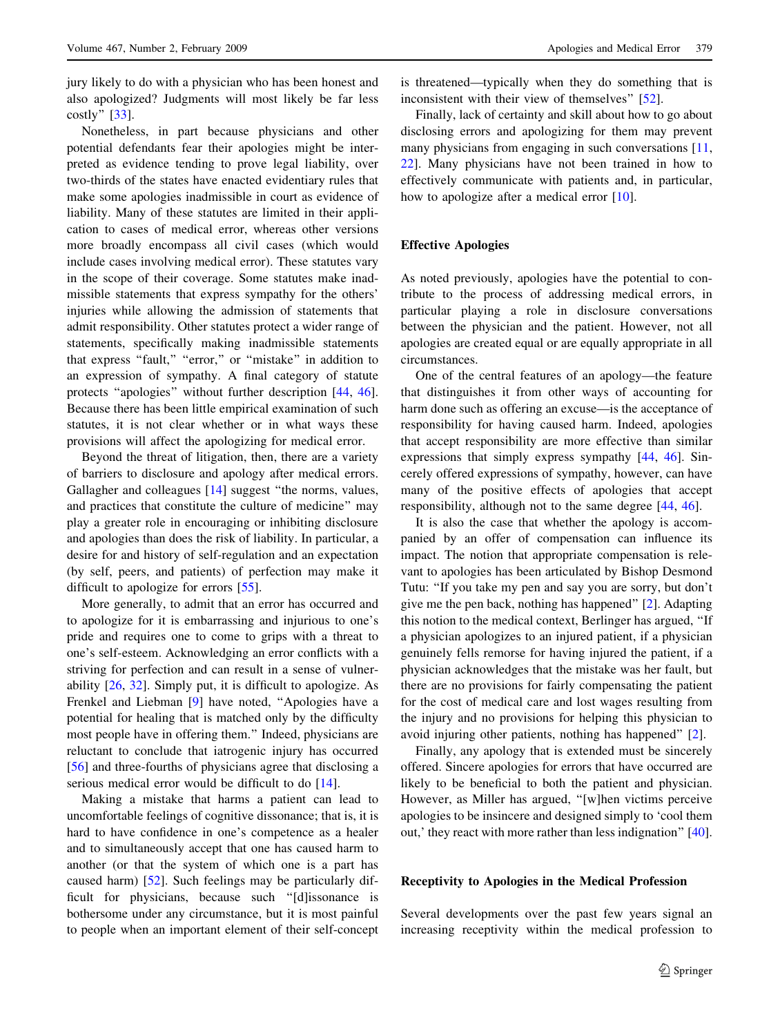jury likely to do with a physician who has been honest and also apologized? Judgments will most likely be far less costly'' [\[33](#page-5-0)].

Nonetheless, in part because physicians and other potential defendants fear their apologies might be interpreted as evidence tending to prove legal liability, over two-thirds of the states have enacted evidentiary rules that make some apologies inadmissible in court as evidence of liability. Many of these statutes are limited in their application to cases of medical error, whereas other versions more broadly encompass all civil cases (which would include cases involving medical error). These statutes vary in the scope of their coverage. Some statutes make inadmissible statements that express sympathy for the others' injuries while allowing the admission of statements that admit responsibility. Other statutes protect a wider range of statements, specifically making inadmissible statements that express "fault," "error," or "mistake" in addition to an expression of sympathy. A final category of statute protects ''apologies'' without further description [\[44,](#page-6-0) [46](#page-6-0)]. Because there has been little empirical examination of such statutes, it is not clear whether or in what ways these provisions will affect the apologizing for medical error.

Beyond the threat of litigation, then, there are a variety of barriers to disclosure and apology after medical errors. Gallagher and colleagues [\[14](#page-5-0)] suggest "the norms, values, and practices that constitute the culture of medicine'' may play a greater role in encouraging or inhibiting disclosure and apologies than does the risk of liability. In particular, a desire for and history of self-regulation and an expectation (by self, peers, and patients) of perfection may make it difficult to apologize for errors [\[55](#page-6-0)].

More generally, to admit that an error has occurred and to apologize for it is embarrassing and injurious to one's pride and requires one to come to grips with a threat to one's self-esteem. Acknowledging an error conflicts with a striving for perfection and can result in a sense of vulnerability [\[26](#page-5-0), [32\]](#page-5-0). Simply put, it is difficult to apologize. As Frenkel and Liebman [\[9](#page-5-0)] have noted, ''Apologies have a potential for healing that is matched only by the difficulty most people have in offering them.'' Indeed, physicians are reluctant to conclude that iatrogenic injury has occurred [\[56](#page-6-0)] and three-fourths of physicians agree that disclosing a serious medical error would be difficult to do [\[14](#page-5-0)].

Making a mistake that harms a patient can lead to uncomfortable feelings of cognitive dissonance; that is, it is hard to have confidence in one's competence as a healer and to simultaneously accept that one has caused harm to another (or that the system of which one is a part has caused harm) [[52\]](#page-6-0). Such feelings may be particularly difficult for physicians, because such ''[d]issonance is bothersome under any circumstance, but it is most painful to people when an important element of their self-concept is threatened—typically when they do something that is inconsistent with their view of themselves'' [\[52](#page-6-0)].

Finally, lack of certainty and skill about how to go about disclosing errors and apologizing for them may prevent many physicians from engaging in such conversations [[11,](#page-5-0) [22](#page-5-0)]. Many physicians have not been trained in how to effectively communicate with patients and, in particular, how to apologize after a medical error [[10\]](#page-5-0).

## Effective Apologies

As noted previously, apologies have the potential to contribute to the process of addressing medical errors, in particular playing a role in disclosure conversations between the physician and the patient. However, not all apologies are created equal or are equally appropriate in all circumstances.

One of the central features of an apology—the feature that distinguishes it from other ways of accounting for harm done such as offering an excuse—is the acceptance of responsibility for having caused harm. Indeed, apologies that accept responsibility are more effective than similar expressions that simply express sympathy [\[44](#page-6-0), [46](#page-6-0)]. Sincerely offered expressions of sympathy, however, can have many of the positive effects of apologies that accept responsibility, although not to the same degree [[44,](#page-6-0) [46\]](#page-6-0).

It is also the case that whether the apology is accompanied by an offer of compensation can influence its impact. The notion that appropriate compensation is relevant to apologies has been articulated by Bishop Desmond Tutu: ''If you take my pen and say you are sorry, but don't give me the pen back, nothing has happened'' [[2\]](#page-5-0). Adapting this notion to the medical context, Berlinger has argued, ''If a physician apologizes to an injured patient, if a physician genuinely fells remorse for having injured the patient, if a physician acknowledges that the mistake was her fault, but there are no provisions for fairly compensating the patient for the cost of medical care and lost wages resulting from the injury and no provisions for helping this physician to avoid injuring other patients, nothing has happened'' [[2\]](#page-5-0).

Finally, any apology that is extended must be sincerely offered. Sincere apologies for errors that have occurred are likely to be beneficial to both the patient and physician. However, as Miller has argued, ''[w]hen victims perceive apologies to be insincere and designed simply to 'cool them out,' they react with more rather than less indignation'' [\[40](#page-6-0)].

# Receptivity to Apologies in the Medical Profession

Several developments over the past few years signal an increasing receptivity within the medical profession to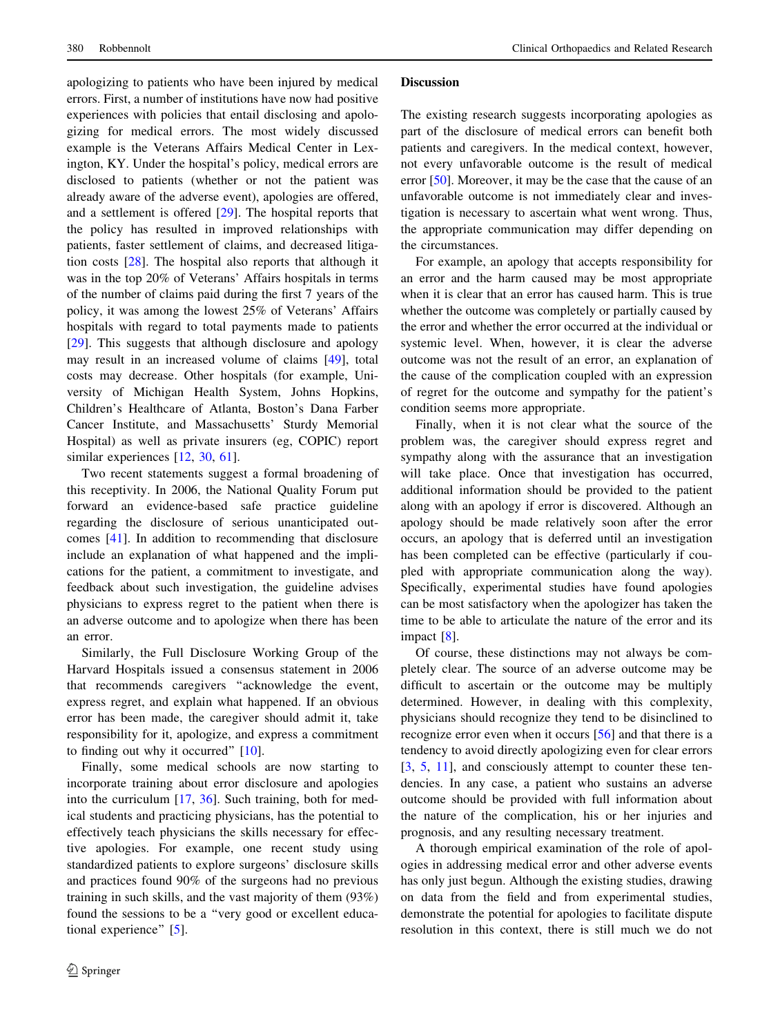apologizing to patients who have been injured by medical errors. First, a number of institutions have now had positive experiences with policies that entail disclosing and apologizing for medical errors. The most widely discussed example is the Veterans Affairs Medical Center in Lexington, KY. Under the hospital's policy, medical errors are disclosed to patients (whether or not the patient was already aware of the adverse event), apologies are offered, and a settlement is offered [\[29](#page-5-0)]. The hospital reports that the policy has resulted in improved relationships with patients, faster settlement of claims, and decreased litigation costs [[28\]](#page-5-0). The hospital also reports that although it was in the top 20% of Veterans' Affairs hospitals in terms of the number of claims paid during the first 7 years of the policy, it was among the lowest 25% of Veterans' Affairs hospitals with regard to total payments made to patients [\[29](#page-5-0)]. This suggests that although disclosure and apology may result in an increased volume of claims [[49\]](#page-6-0), total costs may decrease. Other hospitals (for example, University of Michigan Health System, Johns Hopkins, Children's Healthcare of Atlanta, Boston's Dana Farber Cancer Institute, and Massachusetts' Sturdy Memorial Hospital) as well as private insurers (eg, COPIC) report similar experiences [\[12](#page-5-0), [30,](#page-5-0) [61\]](#page-6-0).

Two recent statements suggest a formal broadening of this receptivity. In 2006, the National Quality Forum put forward an evidence-based safe practice guideline regarding the disclosure of serious unanticipated outcomes [[41\]](#page-6-0). In addition to recommending that disclosure include an explanation of what happened and the implications for the patient, a commitment to investigate, and feedback about such investigation, the guideline advises physicians to express regret to the patient when there is an adverse outcome and to apologize when there has been an error.

Similarly, the Full Disclosure Working Group of the Harvard Hospitals issued a consensus statement in 2006 that recommends caregivers ''acknowledge the event, express regret, and explain what happened. If an obvious error has been made, the caregiver should admit it, take responsibility for it, apologize, and express a commitment to finding out why it occurred'' [\[10](#page-5-0)].

Finally, some medical schools are now starting to incorporate training about error disclosure and apologies into the curriculum [[17](#page-5-0), [36](#page-6-0)]. Such training, both for medical students and practicing physicians, has the potential to effectively teach physicians the skills necessary for effective apologies. For example, one recent study using standardized patients to explore surgeons' disclosure skills and practices found 90% of the surgeons had no previous training in such skills, and the vast majority of them (93%) found the sessions to be a "very good or excellent educational experience'' [[5\]](#page-5-0).

## **Discussion**

The existing research suggests incorporating apologies as part of the disclosure of medical errors can benefit both patients and caregivers. In the medical context, however, not every unfavorable outcome is the result of medical error [\[50](#page-6-0)]. Moreover, it may be the case that the cause of an unfavorable outcome is not immediately clear and investigation is necessary to ascertain what went wrong. Thus, the appropriate communication may differ depending on the circumstances.

For example, an apology that accepts responsibility for an error and the harm caused may be most appropriate when it is clear that an error has caused harm. This is true whether the outcome was completely or partially caused by the error and whether the error occurred at the individual or systemic level. When, however, it is clear the adverse outcome was not the result of an error, an explanation of the cause of the complication coupled with an expression of regret for the outcome and sympathy for the patient's condition seems more appropriate.

Finally, when it is not clear what the source of the problem was, the caregiver should express regret and sympathy along with the assurance that an investigation will take place. Once that investigation has occurred, additional information should be provided to the patient along with an apology if error is discovered. Although an apology should be made relatively soon after the error occurs, an apology that is deferred until an investigation has been completed can be effective (particularly if coupled with appropriate communication along the way). Specifically, experimental studies have found apologies can be most satisfactory when the apologizer has taken the time to be able to articulate the nature of the error and its impact [\[8](#page-5-0)].

Of course, these distinctions may not always be completely clear. The source of an adverse outcome may be difficult to ascertain or the outcome may be multiply determined. However, in dealing with this complexity, physicians should recognize they tend to be disinclined to recognize error even when it occurs [[56\]](#page-6-0) and that there is a tendency to avoid directly apologizing even for clear errors [\[3](#page-5-0), [5](#page-5-0), [11\]](#page-5-0), and consciously attempt to counter these tendencies. In any case, a patient who sustains an adverse outcome should be provided with full information about the nature of the complication, his or her injuries and prognosis, and any resulting necessary treatment.

A thorough empirical examination of the role of apologies in addressing medical error and other adverse events has only just begun. Although the existing studies, drawing on data from the field and from experimental studies, demonstrate the potential for apologies to facilitate dispute resolution in this context, there is still much we do not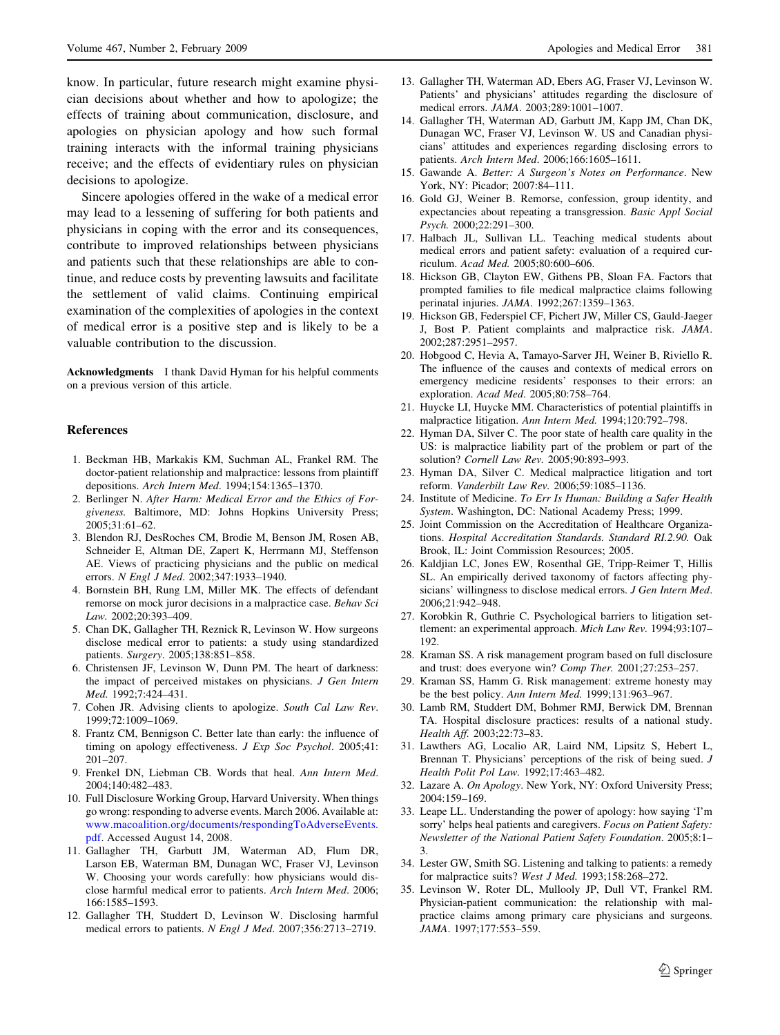<span id="page-5-0"></span>know. In particular, future research might examine physician decisions about whether and how to apologize; the effects of training about communication, disclosure, and apologies on physician apology and how such formal training interacts with the informal training physicians receive; and the effects of evidentiary rules on physician decisions to apologize.

Sincere apologies offered in the wake of a medical error may lead to a lessening of suffering for both patients and physicians in coping with the error and its consequences, contribute to improved relationships between physicians and patients such that these relationships are able to continue, and reduce costs by preventing lawsuits and facilitate the settlement of valid claims. Continuing empirical examination of the complexities of apologies in the context of medical error is a positive step and is likely to be a valuable contribution to the discussion.

Acknowledgments I thank David Hyman for his helpful comments on a previous version of this article.

## References

- 1. Beckman HB, Markakis KM, Suchman AL, Frankel RM. The doctor-patient relationship and malpractice: lessons from plaintiff depositions. Arch Intern Med. 1994;154:1365–1370.
- 2. Berlinger N. After Harm: Medical Error and the Ethics of Forgiveness. Baltimore, MD: Johns Hopkins University Press; 2005;31:61–62.
- 3. Blendon RJ, DesRoches CM, Brodie M, Benson JM, Rosen AB, Schneider E, Altman DE, Zapert K, Herrmann MJ, Steffenson AE. Views of practicing physicians and the public on medical errors. N Engl J Med. 2002;347:1933–1940.
- 4. Bornstein BH, Rung LM, Miller MK. The effects of defendant remorse on mock juror decisions in a malpractice case. Behav Sci Law. 2002;20:393–409.
- 5. Chan DK, Gallagher TH, Reznick R, Levinson W. How surgeons disclose medical error to patients: a study using standardized patients. Surgery. 2005;138:851–858.
- 6. Christensen JF, Levinson W, Dunn PM. The heart of darkness: the impact of perceived mistakes on physicians. J Gen Intern Med. 1992;7:424–431.
- 7. Cohen JR. Advising clients to apologize. South Cal Law Rev. 1999;72:1009–1069.
- 8. Frantz CM, Bennigson C. Better late than early: the influence of timing on apology effectiveness. J Exp Soc Psychol. 2005;41: 201–207.
- 9. Frenkel DN, Liebman CB. Words that heal. Ann Intern Med. 2004;140:482–483.
- 10. Full Disclosure Working Group, Harvard University. When things go wrong: responding to adverse events. March 2006. Available at: [www.macoalition.org/documents/respondingToAdverseEvents.](http://www.macoalition.org/documents/respondingToAdverseEvents.pdf) [pdf](http://www.macoalition.org/documents/respondingToAdverseEvents.pdf). Accessed August 14, 2008.
- 11. Gallagher TH, Garbutt JM, Waterman AD, Flum DR, Larson EB, Waterman BM, Dunagan WC, Fraser VJ, Levinson W. Choosing your words carefully: how physicians would disclose harmful medical error to patients. Arch Intern Med. 2006; 166:1585–1593.
- 12. Gallagher TH, Studdert D, Levinson W. Disclosing harmful medical errors to patients. N Engl J Med. 2007;356:2713–2719.
- medical errors. JAMA. 2003;289:1001–1007. 14. Gallagher TH, Waterman AD, Garbutt JM, Kapp JM, Chan DK, Dunagan WC, Fraser VJ, Levinson W. US and Canadian physicians' attitudes and experiences regarding disclosing errors to
- patients. Arch Intern Med. 2006;166:1605–1611. 15. Gawande A. Better: A Surgeon's Notes on Performance. New
- York, NY: Picador; 2007:84–111. 16. Gold GJ, Weiner B. Remorse, confession, group identity, and expectancies about repeating a transgression. Basic Appl Social Psych. 2000;22:291–300.
- 17. Halbach JL, Sullivan LL. Teaching medical students about medical errors and patient safety: evaluation of a required curriculum. Acad Med. 2005;80:600–606.
- 18. Hickson GB, Clayton EW, Githens PB, Sloan FA. Factors that prompted families to file medical malpractice claims following perinatal injuries. JAMA. 1992;267:1359–1363.
- 19. Hickson GB, Federspiel CF, Pichert JW, Miller CS, Gauld-Jaeger J, Bost P. Patient complaints and malpractice risk. JAMA. 2002;287:2951–2957.
- 20. Hobgood C, Hevia A, Tamayo-Sarver JH, Weiner B, Riviello R. The influence of the causes and contexts of medical errors on emergency medicine residents' responses to their errors: an exploration. Acad Med. 2005;80:758–764.
- 21. Huycke LI, Huycke MM. Characteristics of potential plaintiffs in malpractice litigation. Ann Intern Med. 1994;120:792–798.
- 22. Hyman DA, Silver C. The poor state of health care quality in the US: is malpractice liability part of the problem or part of the solution? Cornell Law Rev. 2005;90:893–993.
- 23. Hyman DA, Silver C. Medical malpractice litigation and tort reform. Vanderbilt Law Rev. 2006;59:1085–1136.
- 24. Institute of Medicine. To Err Is Human: Building a Safer Health System. Washington, DC: National Academy Press; 1999.
- 25. Joint Commission on the Accreditation of Healthcare Organizations. Hospital Accreditation Standards. Standard RI.2.90. Oak Brook, IL: Joint Commission Resources; 2005.
- 26. Kaldjian LC, Jones EW, Rosenthal GE, Tripp-Reimer T, Hillis SL. An empirically derived taxonomy of factors affecting physicians' willingness to disclose medical errors. J Gen Intern Med. 2006;21:942–948.
- 27. Korobkin R, Guthrie C. Psychological barriers to litigation settlement: an experimental approach. Mich Law Rev. 1994;93:107– 192.
- 28. Kraman SS. A risk management program based on full disclosure and trust: does everyone win? Comp Ther. 2001;27:253–257.
- 29. Kraman SS, Hamm G. Risk management: extreme honesty may be the best policy. Ann Intern Med. 1999;131:963–967.
- 30. Lamb RM, Studdert DM, Bohmer RMJ, Berwick DM, Brennan TA. Hospital disclosure practices: results of a national study. Health Aff. 2003;22:73–83.
- 31. Lawthers AG, Localio AR, Laird NM, Lipsitz S, Hebert L, Brennan T. Physicians' perceptions of the risk of being sued. J Health Polit Pol Law. 1992;17:463–482.
- 32. Lazare A. On Apology. New York, NY: Oxford University Press; 2004:159–169.
- 33. Leape LL. Understanding the power of apology: how saying 'I'm sorry' helps heal patients and caregivers. Focus on Patient Safety: Newsletter of the National Patient Safety Foundation. 2005;8:1– 3.
- 34. Lester GW, Smith SG. Listening and talking to patients: a remedy for malpractice suits? West J Med. 1993;158:268–272.
- 35. Levinson W, Roter DL, Mullooly JP, Dull VT, Frankel RM. Physician-patient communication: the relationship with malpractice claims among primary care physicians and surgeons. JAMA. 1997;177:553–559.